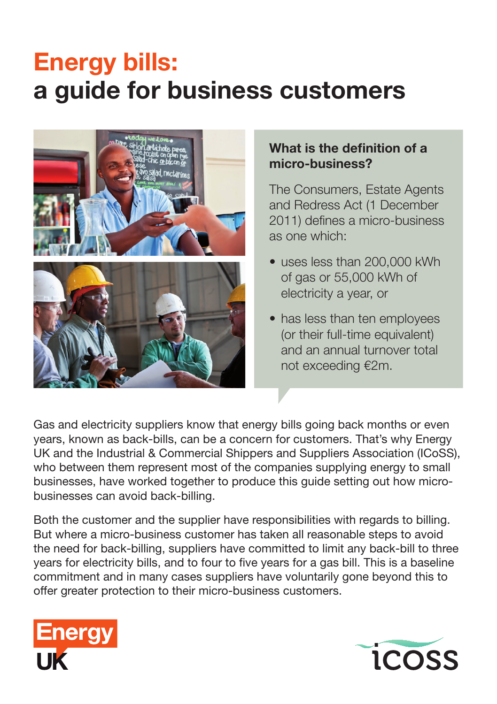# **Energy bills: a guide for business customers**



### **What is the definition of a micro-business?**

The Consumers, Estate Agents and Redress Act (1 December 2011) defines a micro-business as one which:

- uses less than 200,000 kWh of gas or 55,000 kWh of electricity a year, or
- has less than ten employees (or their full-time equivalent) and an annual turnover total not exceeding €2m.

Gas and electricity suppliers know that energy bills going back months or even years, known as back-bills, can be a concern for customers. That's why Energy UK and the Industrial & Commercial Shippers and Suppliers Association (ICoSS), who between them represent most of the companies supplying energy to small businesses, have worked together to produce this guide setting out how microbusinesses can avoid back-billing.

Both the customer and the supplier have responsibilities with regards to billing. But where a micro-business customer has taken all reasonable steps to avoid the need for back-billing, suppliers have committed to limit any back-bill to three years for electricity bills, and to four to five years for a gas bill. This is a baseline commitment and in many cases suppliers have voluntarily gone beyond this to offer greater protection to their micro-business customers.



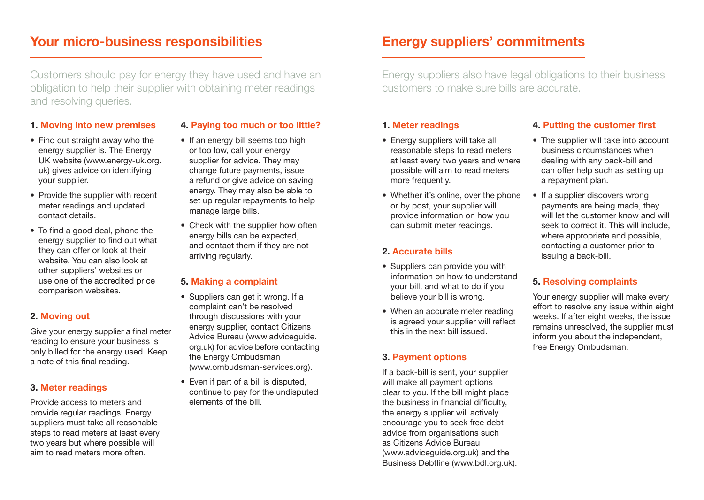## **Your micro-business responsibilities Energy suppliers' commitments**

Customers should pay for energy they have used and have an obligation to help their supplier with obtaining meter readings and resolving queries.

### **1. Moving into new premises**

- Find out straight away who the energy supplier is. The Energy UK website (www.energy-uk.org. uk) gives advice on identifying your supplier.
- Provide the supplier with recent meter readings and updated contact details.
- To find a good deal, phone the energy supplier to find out what they can offer or look at their website. You can also look at other suppliers' websites or use one of the accredited price comparison websites.

### **2. Moving out**

Give your energy supplier a final meter reading to ensure your business is only billed for the energy used. Keep a note of this final reading.

### **3. Meter readings**

Provide access to meters and provide regular readings. Energy suppliers must take all reasonable steps to read meters at least every two years but where possible will aim to read meters more often.

### **4. Paying too much or too little?**

- If an energy bill seems too high or too low, call your energy supplier for advice. They may change future payments, issue a refund or give advice on saving energy. They may also be able to set up regular repayments to help manage large bills.
- Check with the supplier how often energy bills can be expected, and contact them if they are not arriving regularly.

### **5. Making a complaint**

- Suppliers can get it wrong. If a complaint can't be resolved through discussions with your energy supplier, contact Citizens Advice Bureau (www.adviceguide. org.uk) for advice before contacting the Energy Ombudsman (www.ombudsman-services.org).
- Even if part of a bill is disputed, continue to pay for the undisputed elements of the bill.

Energy suppliers also have legal obligations to their business customers to make sure bills are accurate.

### **1. Meter readings**

- Energy suppliers will take all reasonable steps to read meters at least every two years and where possible will aim to read meters more frequently.
- Whether it's online, over the phone or by post, your supplier will provide information on how you can submit meter readings.

### **2. Accurate bills**

- Suppliers can provide you with information on how to understand your bill, and what to do if you believe your bill is wrong.
- When an accurate meter reading is agreed your supplier will reflect this in the next bill issued.

### **3. Payment options**

If a back-bill is sent, your supplier will make all payment options clear to you. If the bill might place the business in financial difficulty, the energy supplier will actively encourage you to seek free debt advice from organisations such as Citizens Advice Bureau (www.adviceguide.org.uk) and the Business Debtline (www.bdl.org.uk).

### **4. Putting the customer first**

- The supplier will take into account business circumstances when dealing with any back-bill and can offer help such as setting up a repayment plan.
- If a supplier discovers wrong payments are being made, they will let the customer know and will seek to correct it. This will include, where appropriate and possible. contacting a customer prior to issuing a back-bill.

### **5. Resolving complaints**

Your energy supplier will make every effort to resolve any issue within eight weeks. If after eight weeks, the issue remains unresolved, the supplier must inform you about the independent, free Energy Ombudsman.